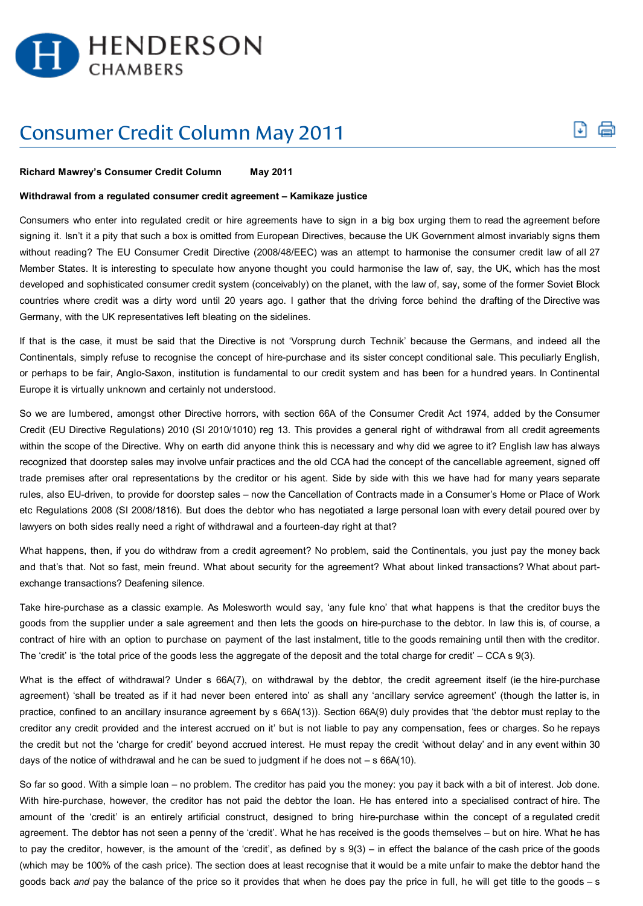

## Consumer Credit Column May 2011

## **Richard Mawrey's Consumer Credit Column May 2011**

## **Withdrawal from a regulated consumer credit agreement – Kamikaze justice**

Consumers who enter into regulated credit or hire agreements have to sign in a big box urging them to read the agreement before signing it. Isn't it a pity that such a box is omitted from European Directives, because the UK Government almost invariably signs them without reading? The EU Consumer Credit Directive (2008/48/EEC) was an attempt to harmonise the consumer credit law of all 27 Member States. It is interesting to speculate how anyone thought you could harmonise the law of, say, the UK, which has the most developed and sophisticated consumer credit system (conceivably) on the planet, with the law of, say, some of the former Soviet Block countries where credit was a dirty word until 20 years ago. I gather that the driving force behind the drafting of the Directive was Germany, with the UK representatives left bleating on the sidelines.

۱J۱

If that is the case, it must be said that the Directive is not 'Vorsprung durch Technik' because the Germans, and indeed all the Continentals, simply refuse to recognise the concept of hire-purchase and its sister concept conditional sale. This peculiarly English, or perhaps to be fair, Anglo-Saxon, institution is fundamental to our credit system and has been for a hundred years. In Continental Europe it is virtually unknown and certainly not understood.

So we are lumbered, amongst other Directive horrors, with section 66A of the Consumer Credit Act 1974, added by the Consumer Credit (EU Directive Regulations) 2010 (SI 2010/1010) reg 13. This provides a general right of withdrawal from all credit agreements within the scope of the Directive. Why on earth did anyone think this is necessary and why did we agree to it? English law has always recognized that doorstep sales may involve unfair practices and the old CCA had the concept of the cancellable agreement, signed off trade premises after oral representations by the creditor or his agent. Side by side with this we have had for many years separate rules, also EU-driven, to provide for doorstep sales – now the Cancellation of Contracts made in a Consumer's Home or Place of Work etc Regulations 2008 (SI 2008/1816). But does the debtor who has negotiated a large personal loan with every detail poured over by lawyers on both sides really need a right of withdrawal and a fourteen-day right at that?

What happens, then, if you do withdraw from a credit agreement? No problem, said the Continentals, you just pay the money back and that's that. Not so fast, mein freund. What about security for the agreement? What about linked transactions? What about partexchange transactions? Deafening silence.

Take hire-purchase as a classic example. As Molesworth would say, 'any fule kno' that what happens is that the creditor buys the goods from the supplier under a sale agreement and then lets the goods on hire-purchase to the debtor. In law this is, of course, a contract of hire with an option to purchase on payment of the last instalment, title to the goods remaining until then with the creditor. The 'credit' is 'the total price of the goods less the aggregate of the deposit and the total charge for credit' – CCA s 9(3).

What is the effect of withdrawal? Under s 66A(7), on withdrawal by the debtor, the credit agreement itself (ie the hire-purchase agreement) 'shall be treated as if it had never been entered into' as shall any 'ancillary service agreement' (though the latter is, in practice, confined to an ancillary insurance agreement by s 66A(13)). Section 66A(9) duly provides that 'the debtor must replay to the creditor any credit provided and the interest accrued on it' but is not liable to pay any compensation, fees or charges. So he repays the credit but not the 'charge for credit' beyond accrued interest. He must repay the credit 'without delay' and in any event within 30 days of the notice of withdrawal and he can be sued to judgment if he does not – s 66A(10).

So far so good. With a simple loan – no problem. The creditor has paid you the money: you pay it back with a bit of interest. Job done. With hire-purchase, however, the creditor has not paid the debtor the loan. He has entered into a specialised contract of hire. The amount of the 'credit' is an entirely artificial construct, designed to bring hire-purchase within the concept of a regulated credit agreement. The debtor has not seen a penny of the 'credit'. What he has received is the goods themselves – but on hire. What he has to pay the creditor, however, is the amount of the 'credit', as defined by s 9(3) – in effect the balance of the cash price of the goods (which may be 100% of the cash price). The section does at least recognise that it would be a mite unfair to make the debtor hand the goods back *and* pay the balance of the price so it provides that when he does pay the price in full, he will get title to the goods – s